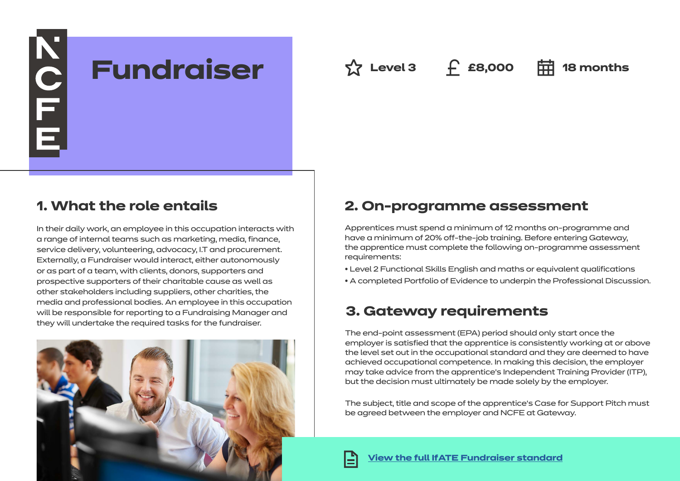N<br>E F E **Fundraiser Level 3 £8,000 18 months**

## **1. What the role entails**

In their daily work, an employee in this occupation interacts with a range of internal teams such as marketing, media, finance, service delivery, volunteering, advocacy, I.T and procurement. Externally, a Fundraiser would interact, either autonomously or as part of a team, with clients, donors, supporters and prospective supporters of their charitable cause as well as other stakeholders including suppliers, other charities, the media and professional bodies. An employee in this occupation will be responsible for reporting to a Fundraising Manager and they will undertake the required tasks for the fundraiser.



## **2. On-programme assessment**

Apprentices must spend a minimum of 12 months on-programme and have a minimum of 20% off-the-job training. Before entering Gateway, the apprentice must complete the following on-programme assessment requirements:

• Level 2 Functional Skills English and maths or equivalent qualifications

• A completed Portfolio of Evidence to underpin the Professional Discussion.

# **3. Gateway requirements**

The end-point assessment (EPA) period should only start once the employer is satisfied that the apprentice is consistently working at or above the level set out in the occupational standard and they are deemed to have achieved occupational competence. In making this decision, the employer may take advice from the apprentice's Independent Training Provider (ITP), but the decision must ultimately be made solely by the employer.

The subject, title and scope of the apprentice's Case for Support Pitch must be agreed between the employer and NCFE at Gateway.